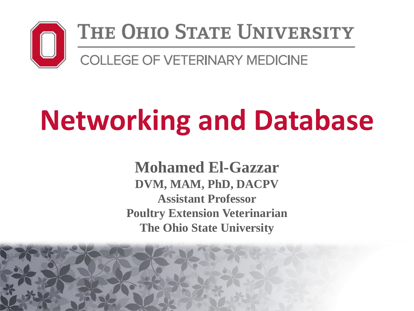

#### THE OHIO STATE UNIVERSITY

**COLLEGE OF VETERINARY MEDICINE** 

# **Networking and Database**

**Mohamed El-Gazzar DVM, MAM, PhD, DACPV Assistant Professor Poultry Extension Veterinarian The Ohio State University**

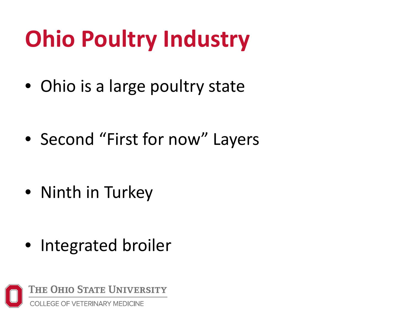# **Ohio Poultry Industry**

• Ohio is a large poultry state

• Second "First for now" Layers

• Ninth in Turkey

• Integrated broiler

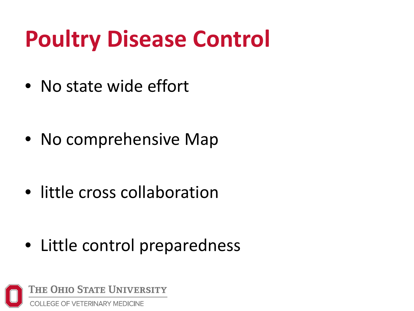# **Poultry Disease Control**

• No state wide effort

• No comprehensive Map

• little cross collaboration

• Little control preparedness

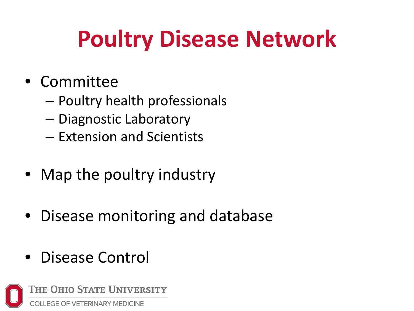# **Poultry Disease Network**

#### • Committee

- Poultry health professionals
- Diagnostic Laboratory
- Extension and Scientists
- Map the poultry industry
- Disease monitoring and database
- Disease Control

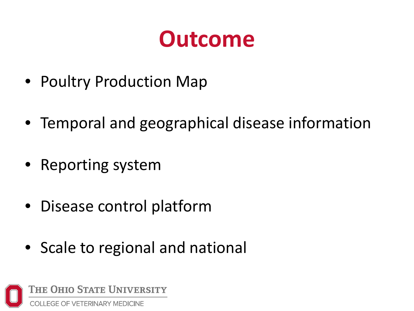### **Outcome**

- Poultry Production Map
- Temporal and geographical disease information
- Reporting system
- Disease control platform
- Scale to regional and national

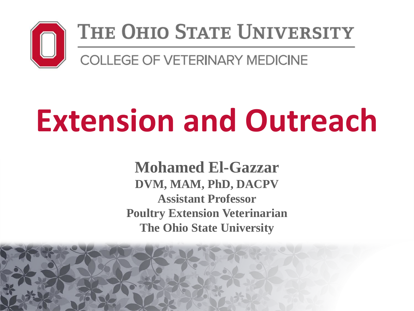

#### THE OHIO STATE UNIVERSITY

COLLEGE OF VETERINARY MEDICINE

# **Extension and Outreach**

**Mohamed El-Gazzar DVM, MAM, PhD, DACPV Assistant Professor Poultry Extension Veterinarian The Ohio State University**

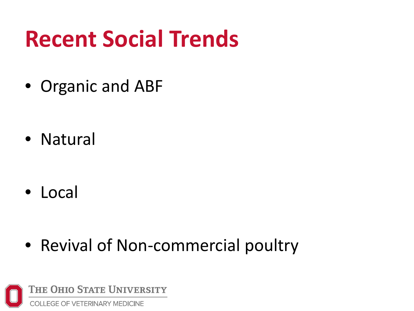## **Recent Social Trends**

• Organic and ABF

• Natural

• Local

• Revival of Non-commercial poultry

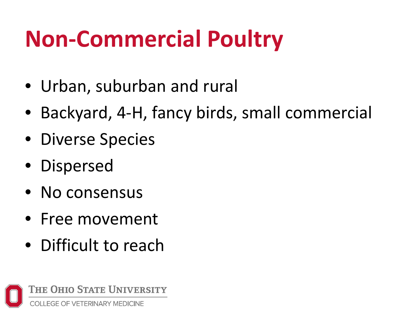# **Non-Commercial Poultry**

- Urban, suburban and rural
- Backyard, 4-H, fancy birds, small commercial
- Diverse Species
- Dispersed
- No consensus
- Free movement
- Difficult to reach

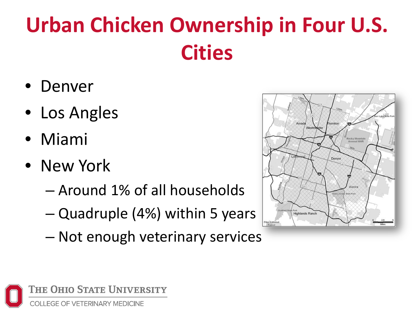# **Urban Chicken Ownership in Four U.S. Cities**

- Denver
- Los Angles
- Miami
- New York
	- Around 1% of all households
	- Quadruple (4%) within 5 years
	- Not enough veterinary services



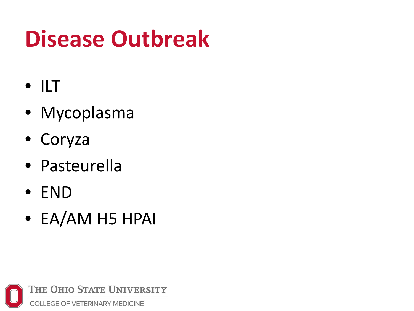# **Disease Outbreak**

- ILT
- Mycoplasma
- Coryza
- Pasteurella
- END
- EA/AM H5 HPAI

THE OHIO STATE UNIVERSITY **COLLEGE OF VETERINARY MEDICINE**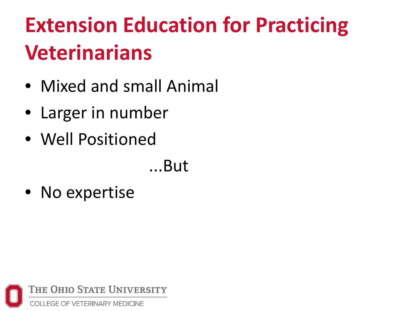# **Extension Education for Practicing Veterinarians**

- Mixed and small Animal
- Larger in number
- Well Positioned

...But

• No expertise

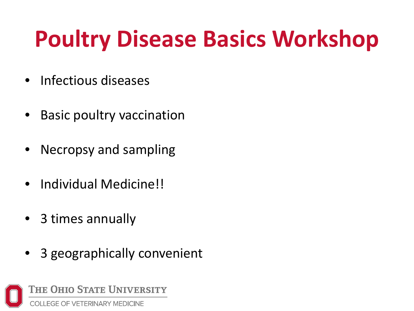# **Poultry Disease Basics Workshop**

- Infectious diseases
- Basic poultry vaccination
- Necropsy and sampling
- Individual Medicine!!
- 3 times annually
- 3 geographically convenient

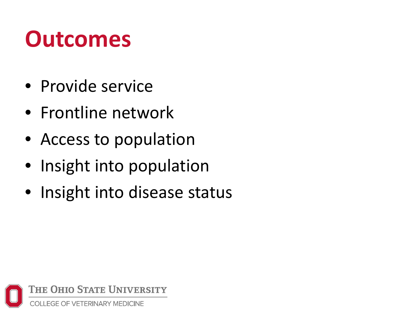## **Outcomes**

- Provide service
- Frontline network
- Access to population
- Insight into population
- Insight into disease status